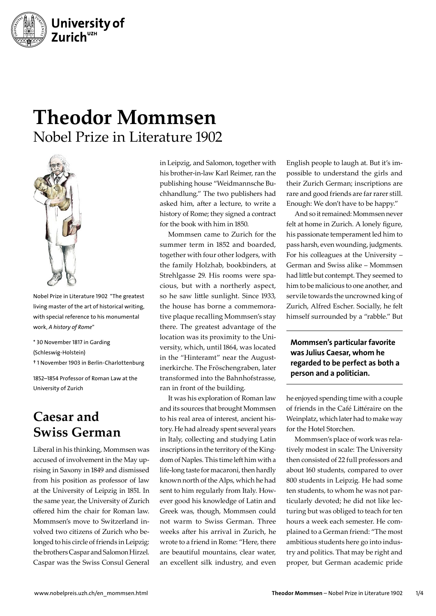

## **Theodor Mommsen** Nobel Prize in Literature 1902



Nobel Prize in Literature 1902 "The greatest living master of the art of historical writing, with special reference to his monumental work, *A history of Rome*"

\* 30 November 1817 in Garding

(Schleswig-Holstein)

† 1 November 1903 in Berlin-Charlottenburg

1852–1854 Professor of Roman Law at the University of Zurich

## **Caesar and Swiss German**

Liberal in his thinking, Mommsen was accused of involvement in the May uprising in Saxony in 1849 and dismissed from his position as professor of law at the University of Leipzig in 1851. In the same year, the University of Zurich offered him the chair for Roman law. Mommsen's move to Switzerland involved two citizens of Zurich who belonged to his circle of friends in Leipzig: the brothers Caspar and Salomon Hirzel. Caspar was the Swiss Consul General

in Leipzig, and Salomon, together with his brother-in-law Karl Reimer, ran the publishing house "Weidmannsche Buchhandlung." The two publishers had asked him, after a lecture, to write a history of Rome; they signed a contract for the book with him in 1850.

Mommsen came to Zurich for the summer term in 1852 and boarded, together with four other lodgers, with the family Holzhab, bookbinders, at Strehlgasse 29. His rooms were spacious, but with a northerly aspect, so he saw little sunlight. Since 1933, the house has borne a commemorative plaque recalling Mommsen's stay there. The greatest advantage of the location was its proximity to the University, which, until 1864, was located in the "Hinteramt" near the Augustinerkirche. The Fröschengraben, later transformed into the Bahnhofstrasse, ran in front of the building.

It was his exploration of Roman law and its sources that brought Mommsen to his real area of interest, ancient history. He had already spent several years in Italy, collecting and studying Latin inscriptions in the territory of the Kingdom of Naples. This time left him with a life-long taste for macaroni, then hardly known north of the Alps, which he had sent to him regularly from Italy. However good his knowledge of Latin and Greek was, though, Mommsen could not warm to Swiss German. Three weeks after his arrival in Zurich, he wrote to a friend in Rome: "Here, there are beautiful mountains, clear water, an excellent silk industry, and even

English people to laugh at. But it's impossible to understand the girls and their Zurich German; inscriptions are rare and good friends are far rarer still. Enough: We don't have to be happy."

And so it remained: Mommsen never felt at home in Zurich. A lonely figure, his passionate temperament led him to pass harsh, even wounding, judgments. For his colleagues at the University – German and Swiss alike – Mommsen had little but contempt. They seemed to him to be malicious to one another, and servile towards the uncrowned king of Zurich, Alfred Escher. Socially, he felt himself surrounded by a "rabble." But

Mommsen's particular favorite was Julius Caesar, whom he regarded to be perfect as both a person and a politician.

he enjoyed spending time with a couple of friends in the Café Littéraire on the Weinplatz, which later had to make way for the Hotel Storchen.

Mommsen's place of work was relatively modest in scale: The University then consisted of 22 full professors and about 160 students, compared to over 800 students in Leipzig. He had some ten students, to whom he was not particularly devoted; he did not like lecturing but was obliged to teach for ten hours a week each semester. He complained to a German friend: "The most ambitious students here go into industry and politics. That may be right and proper, but German academic pride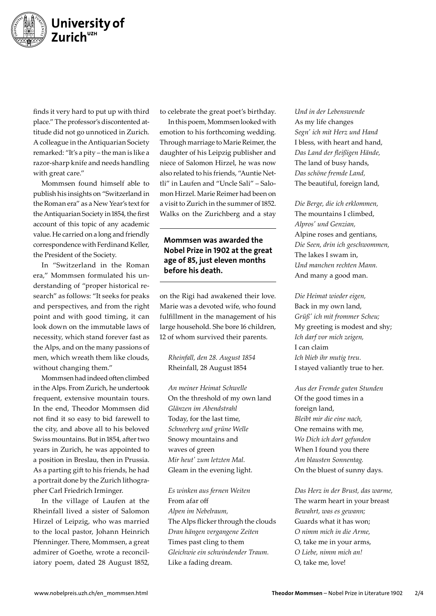

finds it very hard to put up with third place." The professor's discontented attitude did not go unnoticed in Zurich. A colleague in the Antiquarian Society remarked: "It's a pity – the man is like a razor-sharp knife and needs handling with great care."

Mommsen found himself able to publish his insights on "Switzerland in the Roman era" as a New Year's text for the Antiquarian Society in 1854, the first account of this topic of any academic value. He carried on a long and friendly correspondence with Ferdinand Keller, the President of the Society.

In "Switzerland in the Roman era," Mommsen formulated his understanding of "proper historical research" as follows: "It seeks for peaks and perspectives, and from the right point and with good timing, it can look down on the immutable laws of necessity, which stand forever fast as the Alps, and on the many passions of men, which wreath them like clouds, without changing them."

Mommsen had indeed often climbed in the Alps. From Zurich, he undertook frequent, extensive mountain tours. In the end, Theodor Mommsen did not find it so easy to bid farewell to the city, and above all to his beloved Swiss mountains. But in 1854, after two years in Zurich, he was appointed to a position in Breslau, then in Prussia. As a parting gift to his friends, he had a portrait done by the Zurich lithographer Carl Friedrich Irminger.

In the village of Laufen at the Rheinfall lived a sister of Salomon Hirzel of Leipzig, who was married to the local pastor, Johann Heinrich Pfenninger. There, Mommsen, a great admirer of Goethe, wrote a reconciliatory poem, dated 28 August 1852,

to celebrate the great poet's birthday.

In this poem, Mommsen looked with emotion to his forthcoming wedding. Through marriage to Marie Reimer, the daughter of his Leipzig publisher and niece of Salomon Hirzel, he was now also related to his friends, "Auntie Nettli" in Laufen and "Uncle Sali" – Salomon Hirzel. Marie Reimer had been on a visit to Zurich in the summer of 1852. Walks on the Zurichberg and a stay

Mommsen was awarded the Nobel Prize in 1902 at the great age of 85, just eleven months before his death.

on the Rigi had awakened their love. Marie was a devoted wife, who found fulfillment in the management of his large household. She bore 16 children, 12 of whom survived their parents.

*Rheinfall, den 28. August 1854*  Rheinfall, 28 August 1854

*An meiner Heimat Schwelle* On the threshold of my own land *Glänzen im Abendstrahl* Today, for the last time, *Schneeberg und grüne Welle* Snowy mountains and waves of green *Mir heut' zum letzten Mal.* Gleam in the evening light.

*Es winken aus fernen Weiten* From afar off *Alpen im Nebelraum,* The Alps flicker through the clouds *Dran hängen vergangene Zeiten* Times past cling to them *Gleichwie ein schwindender Traum.* Like a fading dream.

*Und in der Lebenswende* As my life changes *Segn' ich mit Herz und Hand* I bless, with heart and hand, *Das Land der fleißigen Hände,* The land of busy hands, *Das schöne fremde Land,* The beautiful, foreign land,

*Die Berge, die ich erklommen,*  The mountains I climbed, *Alpros' und Genzian,*  Alpine roses and gentians, *Die Seen, drin ich geschwommen,* The lakes I swam in, *Und manchen rechten Mann.* And many a good man.

*Die Heimat wieder eigen,*  Back in my own land, *Grüß' ich mit frommer Scheu;* My greeting is modest and shy; *Ich darf vor mich zeigen,*  I can claim *Ich blieb ihr mutig treu.* I stayed valiantly true to her.

*Aus der Fremde guten Stunden* Of the good times in a foreign land, *Bleibt mir die eine nach,* One remains with me, *Wo Dich ich dort gefunden* When I found you there *Am blausten Sonnentag.* On the bluest of sunny days.

*Das Herz in der Brust, das warme,* The warm heart in your breast *Bewahrt, was es gewann;* Guards what it has won; *O nimm mich in die Arme,*  O, take me in your arms, *O Liebe, nimm mich an!* O, take me, love!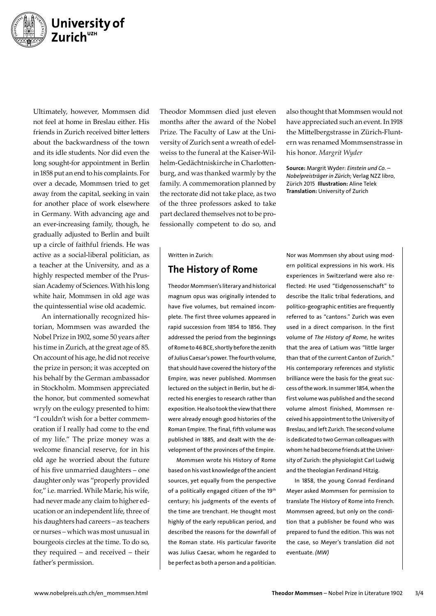

Ultimately, however, Mommsen did not feel at home in Breslau either. His friends in Zurich received bitter letters about the backwardness of the town and its idle students. Nor did even the long sought-for appointment in Berlin in 1858 put an end to his complaints. For over a decade, Mommsen tried to get away from the capital, seeking in vain for another place of work elsewhere in Germany. With advancing age and an ever-increasing family, though, he gradually adjusted to Berlin and built up a circle of faithful friends. He was active as a social-liberal politician, as a teacher at the University, and as a highly respected member of the Prussian Academy of Sciences. With his long white hair, Mommsen in old age was the quintessential wise old academic.

An internationally recognized historian, Mommsen was awarded the Nobel Prize in 1902, some 50 years after his time in Zurich, at the great age of 85. On account of his age, he did not receive the prize in person; it was accepted on his behalf by the German ambassador in Stockholm. Mommsen appreciated the honor, but commented somewhat wryly on the eulogy presented to him: "I couldn't wish for a better commemoration if I really had come to the end of my life." The prize money was a welcome financial reserve, for in his old age he worried about the future of his five unmarried daughters – one daughter only was "properly provided for," i.e. married. While Marie, his wife, had never made any claim to higher education or an independent life, three of his daughters had careers – as teachers or nurses – which was most unusual in bourgeois circles at the time. To do so, they required – and received – their father's permission.

Theodor Mommsen died just eleven months after the award of the Nobel Prize. The Faculty of Law at the University of Zurich sent a wreath of edelweiss to the funeral at the Kaiser-Wilhelm-Gedächtniskirche in Charlottenburg, and was thanked warmly by the family. A commemoration planned by the rectorate did not take place, as two of the three professors asked to take part declared themselves not to be professionally competent to do so, and

Written in Zurich:

## The History of Rome

Theodor Mommsen's literary and historical magnum opus was originally intended to have five volumes, but remained incomplete. The first three volumes appeared in rapid succession from 1854 to 1856. They addressed the period from the beginnings of Rome to 46 BCE, shortly before the zenith of Julius Caesar's power. The fourth volume, that should have covered the history of the Empire, was never published. Mommsen lectured on the subject in Berlin, but he directed his energies to research rather than exposition. He also took the view that there were already enough good histories of the Roman Empire. The final, fifth volume was published in 1885, and dealt with the development of the provinces of the Empire.

Mommsen wrote his History of Rome based on his vast knowledge of the ancient sources, yet equally from the perspective of a politically engaged citizen of the 19<sup>th</sup> century; his judgments of the events of the time are trenchant. He thought most highly of the early republican period, and described the reasons for the downfall of the Roman state. His particular favorite was Julius Caesar, whom he regarded to be perfect as both a person and a politician.

also thought that Mommsen would not have appreciated such an event. In 1918 the Mittelbergstrasse in Zürich-Fluntern was renamed Mommsenstrasse in his honor. *Margrit Wyder*

Source: Margrit Wyder: *Einstein und Co. – Nobelpreisträger in Zürich;* Verlag NZZ libro, Zürich 2015 Illustration: Aline Telek Translation: University of Zurich

Nor was Mommsen shy about using modern political expressions in his work. His experiences in Switzerland were also reflected: He used "Eidgenossenschaft" to describe the Italic tribal federations, and politico-geographic entities are frequently referred to as "cantons." Zurich was even used in a direct comparison. In the first volume of *The History of Rome,* he writes that the area of Latium was "little larger than that of the current Canton of Zurich." His contemporary references and stylistic brilliance were the basis for the great success of the work. In summer 1854, when the first volume was published and the second volume almost finished, Mommsen received his appointment to the University of Breslau, and left Zurich. The second volume is dedicated to two German colleagues with whom he had become friends at the University of Zurich: the physiologist Carl Ludwig and the theologian Ferdinand Hitzig.

In 1858, the young Conrad Ferdinand Meyer asked Mommsen for permission to translate The History of Rome into French. Mommsen agreed, but only on the condition that a publisher be found who was prepared to fund the edition. This was not the case, so Meyer's translation did not eventuate. *(MW)*